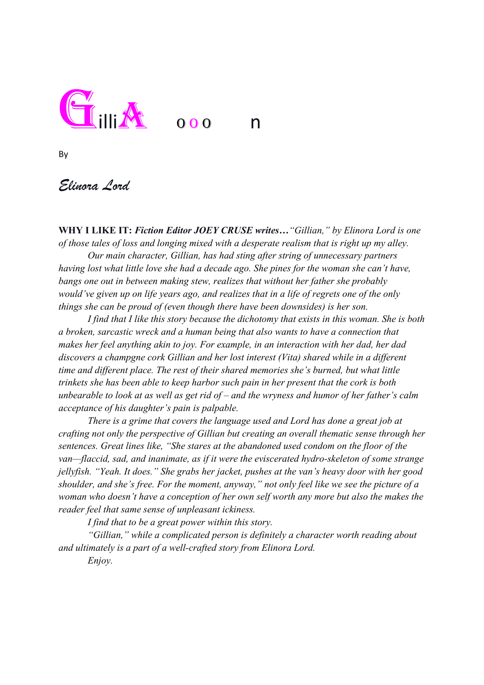

By

*Elinora Lord*

**WHY I LIKE IT:** *Fiction Editor JOEY CRUSE writes…"Gillian," by Elinora Lord is one of those tales of loss and longing mixed with a desperate realism that is right up my alley.* 

*Our main character, Gillian, has had sting after string of unnecessary partners having lost what little love she had a decade ago. She pines for the woman she can't have, bangs one out in between making stew, realizes that without her father she probably would've given up on life years ago, and realizes that in a life of regrets one of the only things she can be proud of (even though there have been downsides) is her son.* 

*I find that I like this story because the dichotomy that exists in this woman. She is both a broken, sarcastic wreck and a human being that also wants to have a connection that makes her feel anything akin to joy. For example, in an interaction with her dad, her dad discovers a champgne cork Gillian and her lost interest (Vita) shared while in a different time and different place. The rest of their shared memories she's burned, but what little trinkets she has been able to keep harbor such pain in her present that the cork is both unbearable to look at as well as get rid of – and the wryness and humor of her father's calm acceptance of his daughter's pain is palpable.*

*There is a grime that covers the language used and Lord has done a great job at crafting not only the perspective of Gillian but creating an overall thematic sense through her sentences. Great lines like, "She stares at the abandoned used condom on the floor of the van—flaccid, sad, and inanimate, as if it were the eviscerated hydro-skeleton of some strange jellyfish. "Yeah. It does." She grabs her jacket, pushes at the van's heavy door with her good shoulder, and she's free. For the moment, anyway," not only feel like we see the picture of a woman who doesn't have a conception of her own self worth any more but also the makes the reader feel that same sense of unpleasant ickiness.* 

*I find that to be a great power within this story.*

*"Gillian," while a complicated person is definitely a character worth reading about and ultimately is a part of a well-crafted story from Elinora Lord.* 

*Enjoy.*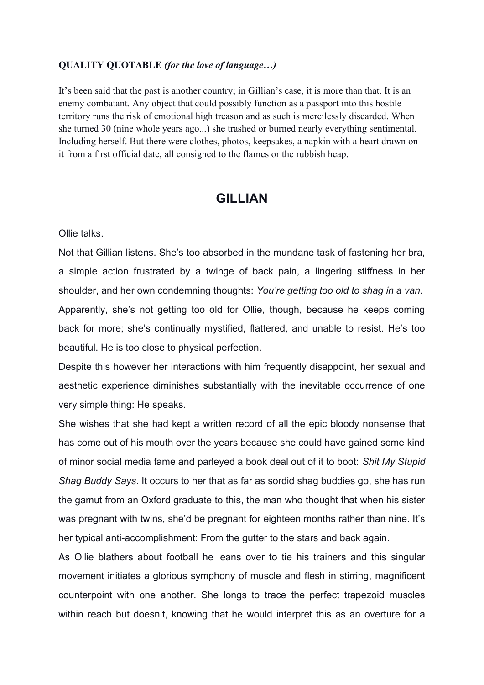## **QUALITY QUOTABLE** *(for the love of language…)*

It's been said that the past is another country; in Gillian's case, it is more than that. It is an enemy combatant. Any object that could possibly function as a passport into this hostile territory runs the risk of emotional high treason and as such is mercilessly discarded. When she turned 30 (nine whole years ago...) she trashed or burned nearly everything sentimental. Including herself. But there were clothes, photos, keepsakes, a napkin with a heart drawn on it from a first official date, all consigned to the flames or the rubbish heap.

## **GILLIAN**

Ollie talks.

Not that Gillian listens. She's too absorbed in the mundane task of fastening her bra, a simple action frustrated by a twinge of back pain, a lingering stiffness in her shoulder, and her own condemning thoughts: *You're getting too old to shag in a van.* Apparently, she's not getting too old for Ollie, though, because he keeps coming back for more; she's continually mystified, flattered, and unable to resist. He's too beautiful. He is too close to physical perfection.

Despite this however her interactions with him frequently disappoint, her sexual and aesthetic experience diminishes substantially with the inevitable occurrence of one very simple thing: He speaks.

She wishes that she had kept a written record of all the epic bloody nonsense that has come out of his mouth over the years because she could have gained some kind of minor social media fame and parleyed a book deal out of it to boot: *Shit My Stupid Shag Buddy Says*. It occurs to her that as far as sordid shag buddies go, she has run the gamut from an Oxford graduate to this, the man who thought that when his sister was pregnant with twins, she'd be pregnant for eighteen months rather than nine. It's her typical anti-accomplishment: From the gutter to the stars and back again.

As Ollie blathers about football he leans over to tie his trainers and this singular movement initiates a glorious symphony of muscle and flesh in stirring, magnificent counterpoint with one another. She longs to trace the perfect trapezoid muscles within reach but doesn't, knowing that he would interpret this as an overture for a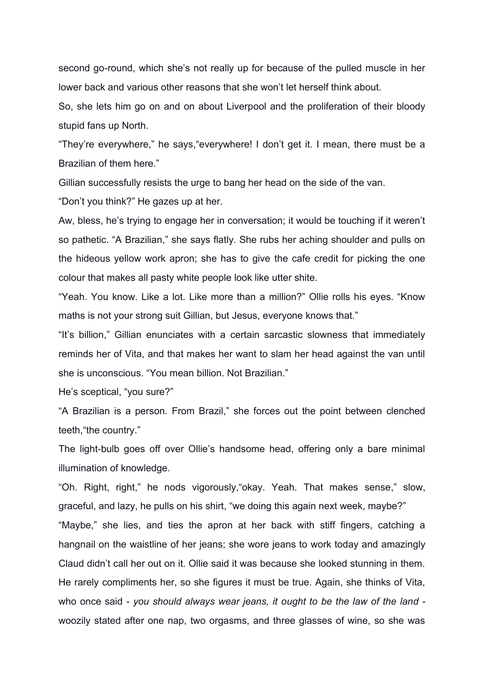second go-round, which she's not really up for because of the pulled muscle in her lower back and various other reasons that she won't let herself think about.

So, she lets him go on and on about Liverpool and the proliferation of their bloody stupid fans up North.

"They're everywhere," he says,"everywhere! I don't get it. I mean, there must be a Brazilian of them here."

Gillian successfully resists the urge to bang her head on the side of the van.

"Don't you think?" He gazes up at her.

Aw, bless, he's trying to engage her in conversation; it would be touching if it weren't so pathetic. "A Brazilian," she says flatly. She rubs her aching shoulder and pulls on the hideous yellow work apron; she has to give the cafe credit for picking the one colour that makes all pasty white people look like utter shite.

"Yeah. You know. Like a lot. Like more than a million?" Ollie rolls his eyes. "Know maths is not your strong suit Gillian, but Jesus, everyone knows that."

"It's billion," Gillian enunciates with a certain sarcastic slowness that immediately reminds her of Vita, and that makes her want to slam her head against the van until she is unconscious. "You mean billion. Not Brazilian."

He's sceptical, "you sure?"

"A Brazilian is a person. From Brazil," she forces out the point between clenched teeth,"the country."

The light-bulb goes off over Ollie's handsome head, offering only a bare minimal illumination of knowledge.

"Oh. Right, right," he nods vigorously,"okay. Yeah. That makes sense," slow, graceful, and lazy, he pulls on his shirt, "we doing this again next week, maybe?" "Maybe," she lies, and ties the apron at her back with stiff fingers, catching a hangnail on the waistline of her jeans; she wore jeans to work today and amazingly Claud didn't call her out on it. Ollie said it was because she looked stunning in them. He rarely compliments her, so she figures it must be true. Again, she thinks of Vita, who once said - *you should always wear jeans, it ought to be the law of the land*  woozily stated after one nap, two orgasms, and three glasses of wine, so she was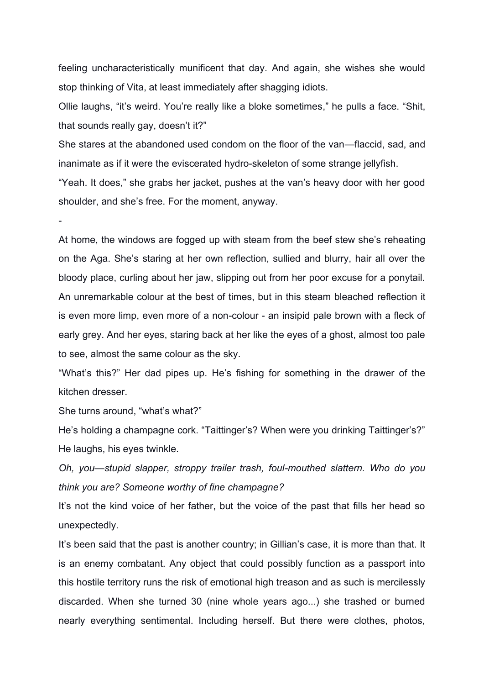feeling uncharacteristically munificent that day. And again, she wishes she would stop thinking of Vita, at least immediately after shagging idiots.

Ollie laughs, "it's weird. You're really like a bloke sometimes," he pulls a face. "Shit, that sounds really gay, doesn't it?"

She stares at the abandoned used condom on the floor of the van—flaccid, sad, and inanimate as if it were the eviscerated hydro-skeleton of some strange jellyfish.

"Yeah. It does," she grabs her jacket, pushes at the van's heavy door with her good shoulder, and she's free. For the moment, anyway.

At home, the windows are fogged up with steam from the beef stew she's reheating on the Aga. She's staring at her own reflection, sullied and blurry, hair all over the bloody place, curling about her jaw, slipping out from her poor excuse for a ponytail. An unremarkable colour at the best of times, but in this steam bleached reflection it is even more limp, even more of a non-colour - an insipid pale brown with a fleck of early grey. And her eyes, staring back at her like the eyes of a ghost, almost too pale to see, almost the same colour as the sky.

"What's this?" Her dad pipes up. He's fishing for something in the drawer of the kitchen dresser.

She turns around, "what's what?"

He's holding a champagne cork. "Taittinger's? When were you drinking Taittinger's?" He laughs, his eyes twinkle.

*Oh, you—stupid slapper, stroppy trailer trash, foul-mouthed slattern. Who do you think you are? Someone worthy of fine champagne?*

It's not the kind voice of her father, but the voice of the past that fills her head so unexpectedly.

It's been said that the past is another country; in Gillian's case, it is more than that. It is an enemy combatant. Any object that could possibly function as a passport into this hostile territory runs the risk of emotional high treason and as such is mercilessly discarded. When she turned 30 (nine whole years ago...) she trashed or burned nearly everything sentimental. Including herself. But there were clothes, photos,

-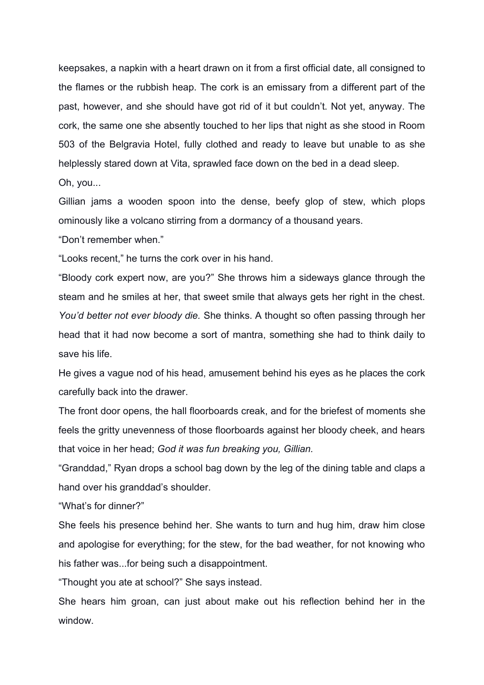keepsakes, a napkin with a heart drawn on it from a first official date, all consigned to the flames or the rubbish heap. The cork is an emissary from a different part of the past, however, and she should have got rid of it but couldn't. Not yet, anyway. The cork, the same one she absently touched to her lips that night as she stood in Room 503 of the Belgravia Hotel, fully clothed and ready to leave but unable to as she helplessly stared down at Vita, sprawled face down on the bed in a dead sleep.

Oh, you...

Gillian jams a wooden spoon into the dense, beefy glop of stew, which plops ominously like a volcano stirring from a dormancy of a thousand years.

"Don't remember when."

"Looks recent," he turns the cork over in his hand.

"Bloody cork expert now, are you?" She throws him a sideways glance through the steam and he smiles at her, that sweet smile that always gets her right in the chest. *You'd better not ever bloody die.* She thinks. A thought so often passing through her head that it had now become a sort of mantra, something she had to think daily to save his life.

He gives a vague nod of his head, amusement behind his eyes as he places the cork carefully back into the drawer.

The front door opens, the hall floorboards creak, and for the briefest of moments she feels the gritty unevenness of those floorboards against her bloody cheek, and hears that voice in her head; *God it was fun breaking you, Gillian.*

"Granddad," Ryan drops a school bag down by the leg of the dining table and claps a hand over his granddad's shoulder.

"What's for dinner?"

She feels his presence behind her. She wants to turn and hug him, draw him close and apologise for everything; for the stew, for the bad weather, for not knowing who his father was...for being such a disappointment.

"Thought you ate at school?" She says instead.

She hears him groan, can just about make out his reflection behind her in the window.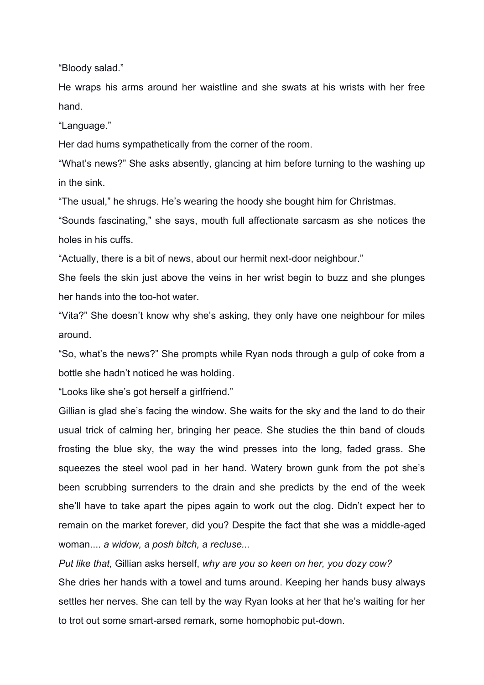"Bloody salad."

He wraps his arms around her waistline and she swats at his wrists with her free hand.

"Language."

Her dad hums sympathetically from the corner of the room.

"What's news?" She asks absently, glancing at him before turning to the washing up in the sink.

"The usual," he shrugs. He's wearing the hoody she bought him for Christmas.

"Sounds fascinating," she says, mouth full affectionate sarcasm as she notices the holes in his cuffs.

"Actually, there is a bit of news, about our hermit next-door neighbour."

She feels the skin just above the veins in her wrist begin to buzz and she plunges her hands into the too-hot water.

"Vita?" She doesn't know why she's asking, they only have one neighbour for miles around.

"So, what's the news?" She prompts while Ryan nods through a gulp of coke from a bottle she hadn't noticed he was holding.

"Looks like she's got herself a girlfriend."

Gillian is glad she's facing the window. She waits for the sky and the land to do their usual trick of calming her, bringing her peace. She studies the thin band of clouds frosting the blue sky, the way the wind presses into the long, faded grass. She squeezes the steel wool pad in her hand. Watery brown gunk from the pot she's been scrubbing surrenders to the drain and she predicts by the end of the week she'll have to take apart the pipes again to work out the clog. Didn't expect her to remain on the market forever, did you? Despite the fact that she was a middle-aged woman.... *a widow, a posh bitch, a recluse...*

*Put like that,* Gillian asks herself, *why are you so keen on her, you dozy cow?* She dries her hands with a towel and turns around. Keeping her hands busy always settles her nerves. She can tell by the way Ryan looks at her that he's waiting for her to trot out some smart-arsed remark, some homophobic put-down.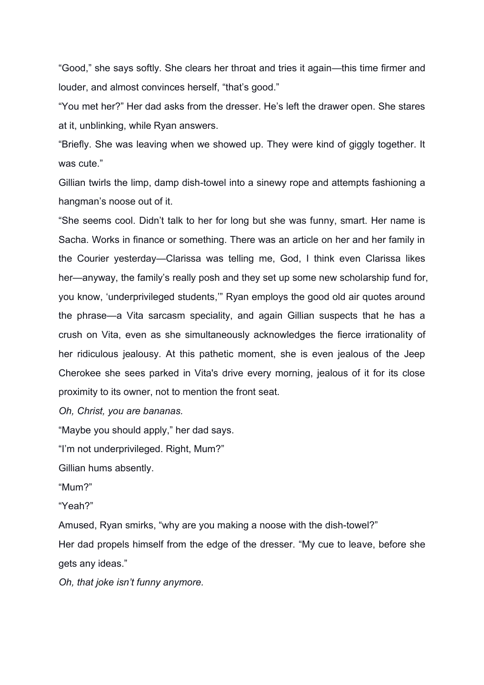"Good," she says softly. She clears her throat and tries it again—this time firmer and louder, and almost convinces herself, "that's good."

"You met her?" Her dad asks from the dresser. He's left the drawer open. She stares at it, unblinking, while Ryan answers.

"Briefly. She was leaving when we showed up. They were kind of giggly together. It was cute."

Gillian twirls the limp, damp dish-towel into a sinewy rope and attempts fashioning a hangman's noose out of it.

"She seems cool. Didn't talk to her for long but she was funny, smart. Her name is Sacha. Works in finance or something. There was an article on her and her family in the Courier yesterday—Clarissa was telling me, God, I think even Clarissa likes her—anyway, the family's really posh and they set up some new scholarship fund for, you know, 'underprivileged students,'" Ryan employs the good old air quotes around the phrase—a Vita sarcasm speciality, and again Gillian suspects that he has a crush on Vita, even as she simultaneously acknowledges the fierce irrationality of her ridiculous jealousy. At this pathetic moment, she is even jealous of the Jeep Cherokee she sees parked in Vita's drive every morning, jealous of it for its close proximity to its owner, not to mention the front seat.

*Oh, Christ, you are bananas.*

"Maybe you should apply," her dad says.

"I'm not underprivileged. Right, Mum?"

Gillian hums absently.

"Mum?"

"Yeah?"

Amused, Ryan smirks, "why are you making a noose with the dish-towel?"

Her dad propels himself from the edge of the dresser. "My cue to leave, before she gets any ideas."

*Oh, that joke isn't funny anymore.*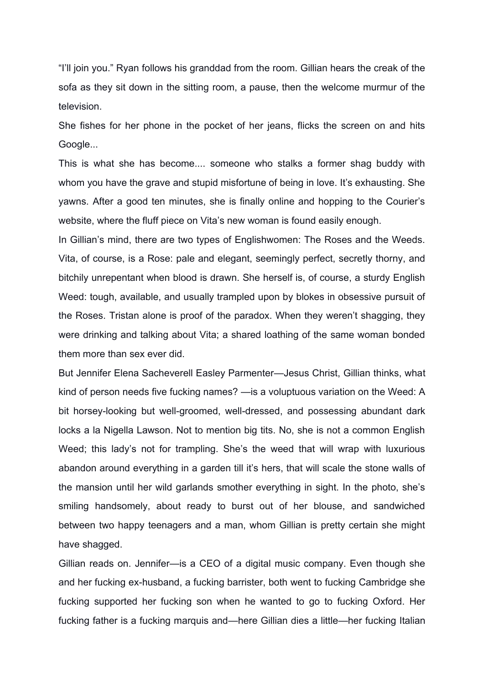"I'll join you." Ryan follows his granddad from the room. Gillian hears the creak of the sofa as they sit down in the sitting room, a pause, then the welcome murmur of the television.

She fishes for her phone in the pocket of her jeans, flicks the screen on and hits Google...

This is what she has become.... someone who stalks a former shag buddy with whom you have the grave and stupid misfortune of being in love. It's exhausting. She yawns. After a good ten minutes, she is finally online and hopping to the Courier's website, where the fluff piece on Vita's new woman is found easily enough.

In Gillian's mind, there are two types of Englishwomen: The Roses and the Weeds. Vita, of course, is a Rose: pale and elegant, seemingly perfect, secretly thorny, and bitchily unrepentant when blood is drawn. She herself is, of course, a sturdy English Weed: tough, available, and usually trampled upon by blokes in obsessive pursuit of the Roses. Tristan alone is proof of the paradox. When they weren't shagging, they were drinking and talking about Vita; a shared loathing of the same woman bonded them more than sex ever did.

But Jennifer Elena Sacheverell Easley Parmenter—Jesus Christ, Gillian thinks, what kind of person needs five fucking names? —is a voluptuous variation on the Weed: A bit horsey-looking but well-groomed, well-dressed, and possessing abundant dark locks a la Nigella Lawson. Not to mention big tits. No, she is not a common English Weed; this lady's not for trampling. She's the weed that will wrap with luxurious abandon around everything in a garden till it's hers, that will scale the stone walls of the mansion until her wild garlands smother everything in sight. In the photo, she's smiling handsomely, about ready to burst out of her blouse, and sandwiched between two happy teenagers and a man, whom Gillian is pretty certain she might have shagged.

Gillian reads on. Jennifer—is a CEO of a digital music company. Even though she and her fucking ex-husband, a fucking barrister, both went to fucking Cambridge she fucking supported her fucking son when he wanted to go to fucking Oxford. Her fucking father is a fucking marquis and—here Gillian dies a little—her fucking Italian